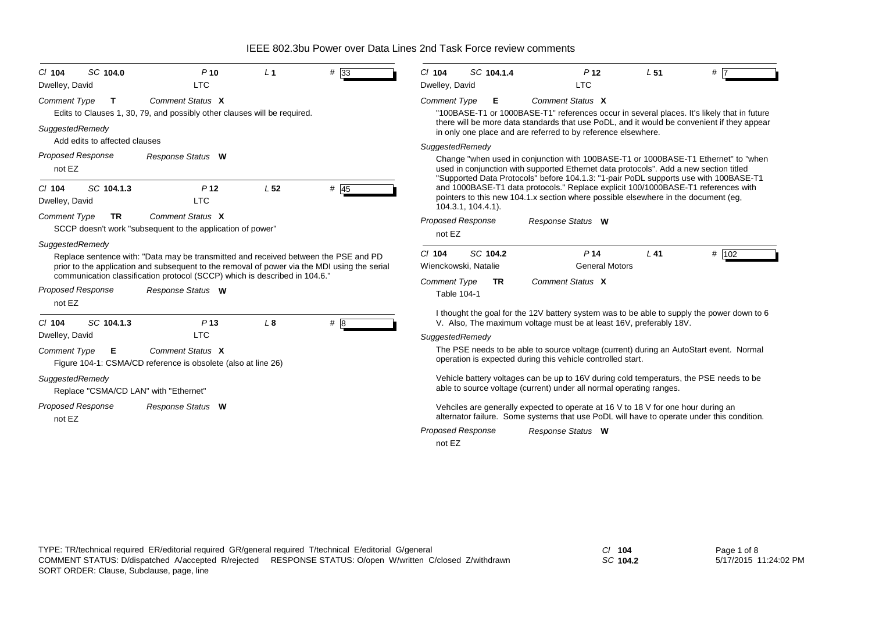| SC 104.0<br>$Cl$ 104                                                     | P <sub>10</sub><br><b>LTC</b>                                                                                                                                                                                                                                     | L <sub>1</sub>  | #33    | SC 104.1.4<br># 7<br>$Cl$ 104<br>P <sub>12</sub><br>L <sub>51</sub><br><b>LTC</b>                                                                                                                                                                                                                                           |  |
|--------------------------------------------------------------------------|-------------------------------------------------------------------------------------------------------------------------------------------------------------------------------------------------------------------------------------------------------------------|-----------------|--------|-----------------------------------------------------------------------------------------------------------------------------------------------------------------------------------------------------------------------------------------------------------------------------------------------------------------------------|--|
| Dwelley, David<br><b>Comment Type</b><br>$\mathbf{T}$<br>SuggestedRemedy | Comment Status X<br>Edits to Clauses 1, 30, 79, and possibly other clauses will be required.                                                                                                                                                                      |                 |        | Dwelley, David<br>Comment Status X<br><b>Comment Type</b><br>Е<br>"100BASE-T1 or 1000BASE-T1" references occur in several places. It's likely that in future<br>there will be more data standards that use PoDL, and it would be convenient if they appear<br>in only one place and are referred to by reference elsewhere. |  |
| Add edits to affected clauses                                            |                                                                                                                                                                                                                                                                   |                 |        | SuggestedRemedy                                                                                                                                                                                                                                                                                                             |  |
| <b>Proposed Response</b><br>not EZ                                       | Response Status W                                                                                                                                                                                                                                                 |                 |        | Change "when used in conjunction with 100BASE-T1 or 1000BASE-T1 Ethernet" to "when<br>used in conjunction with supported Ethernet data protocols". Add a new section titled<br>"Supported Data Protocols" before 104.1.3: "1-pair PoDL supports use with 100BASE-T1                                                         |  |
| $Cl$ 104<br>SC 104.1.3<br>Dwelley, David                                 | P <sub>12</sub><br><b>LTC</b>                                                                                                                                                                                                                                     | L <sub>52</sub> | $#$ 45 | and 1000BASE-T1 data protocols." Replace explicit 100/1000BASE-T1 references with<br>pointers to this new 104.1.x section where possible elsewhere in the document (eg,<br>104.3.1, 104.4.1).                                                                                                                               |  |
| <b>Comment Type</b><br><b>TR</b>                                         | Comment Status X<br>SCCP doesn't work "subsequent to the application of power"                                                                                                                                                                                    |                 |        | <b>Proposed Response</b><br>Response Status W<br>not EZ                                                                                                                                                                                                                                                                     |  |
| SuggestedRemedy                                                          | Replace sentence with: "Data may be transmitted and received between the PSE and PD<br>prior to the application and subsequent to the removal of power via the MDI using the serial<br>communication classification protocol (SCCP) which is described in 104.6." |                 |        | SC 104.2<br>P <sub>14</sub><br>$Cl$ 104<br>$L$ 41<br># 102<br><b>General Motors</b><br>Wienckowski, Natalie<br>Comment Status X<br><b>Comment Type</b><br><b>TR</b>                                                                                                                                                         |  |
| <b>Proposed Response</b><br>not EZ                                       | Response Status W                                                                                                                                                                                                                                                 |                 |        | Table 104-1                                                                                                                                                                                                                                                                                                                 |  |
| SC 104.1.3<br>$Cl$ 104                                                   | P <sub>13</sub>                                                                                                                                                                                                                                                   | L <sub>8</sub>  | #8     | I thought the goal for the 12V battery system was to be able to supply the power down to 6<br>V. Also, The maximum voltage must be at least 16V, preferably 18V.                                                                                                                                                            |  |
| Dwelley, David                                                           | <b>LTC</b>                                                                                                                                                                                                                                                        |                 |        | SuggestedRemedy                                                                                                                                                                                                                                                                                                             |  |
| <b>Comment Type</b><br>Е                                                 | Comment Status X<br>Figure 104-1: CSMA/CD reference is obsolete (also at line 26)                                                                                                                                                                                 |                 |        | The PSE needs to be able to source voltage (current) during an AutoStart event. Normal<br>operation is expected during this vehicle controlled start.                                                                                                                                                                       |  |
| SuggestedRemedy<br>Replace "CSMA/CD LAN" with "Ethernet"                 |                                                                                                                                                                                                                                                                   |                 |        | Vehicle battery voltages can be up to 16V during cold temperaturs, the PSE needs to be<br>able to source voltage (current) under all normal operating ranges.                                                                                                                                                               |  |
| <b>Proposed Response</b><br>not EZ                                       | Response Status W                                                                                                                                                                                                                                                 |                 |        | Vehciles are generally expected to operate at 16 V to 18 V for one hour during an<br>alternator failure. Some systems that use PoDL will have to operate under this condition.                                                                                                                                              |  |
|                                                                          |                                                                                                                                                                                                                                                                   |                 |        | <b>Proposed Response</b><br>Response Status W<br>not EZ                                                                                                                                                                                                                                                                     |  |

*SC* **104.2**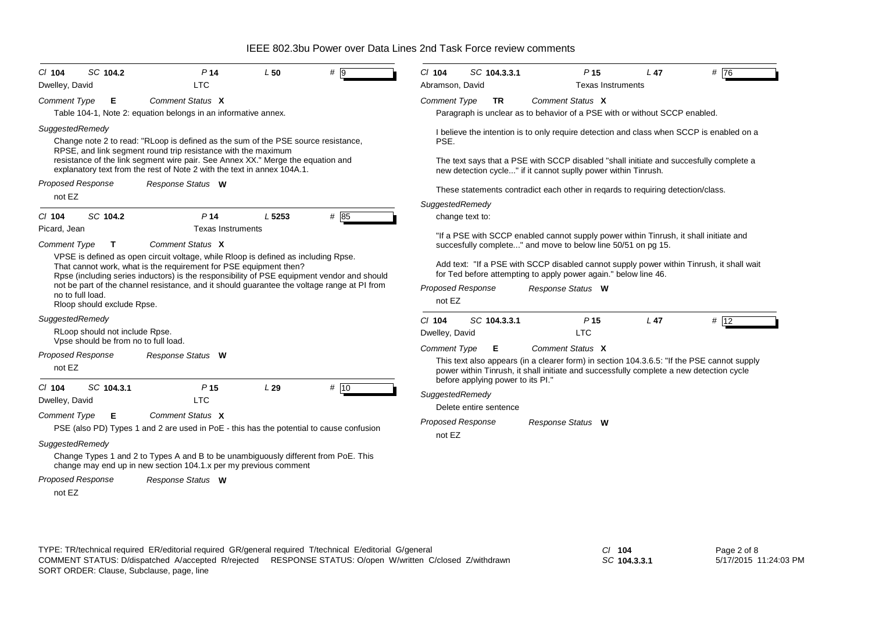| Dwelley, David<br><b>LTC</b><br>Abramson, David<br><b>Texas Instruments</b><br>Comment Status X<br>Comment Status X<br><b>Comment Type</b><br>Е<br><b>Comment Type</b><br><b>TR</b><br>Table 104-1, Note 2: equation belongs in an informative annex.<br>Paragraph is unclear as to behavior of a PSE with or without SCCP enabled.<br>SuggestedRemedy<br>I believe the intention is to only require detection and class when SCCP is enabled on a<br>Change note 2 to read: "RLoop is defined as the sum of the PSE source resistance,<br>PSE.<br>RPSE, and link segment round trip resistance with the maximum<br>resistance of the link segment wire pair. See Annex XX." Merge the equation and<br>The text says that a PSE with SCCP disabled "shall initiate and succesfully complete a<br>explanatory text from the rest of Note 2 with the text in annex 104A.1.<br>new detection cycle" if it cannot suplly power within Tinrush.<br><b>Proposed Response</b><br>Response Status W<br>These statements contradict each other in reqards to requiring detection/class.<br>not EZ<br>SuggestedRemedy<br>SC 104.2<br>L 5253<br># 85<br>$Cl$ 104<br>P <sub>14</sub><br>change text to:<br>Picard, Jean<br><b>Texas Instruments</b><br>"If a PSE with SCCP enabled cannot supply power within Tinrush, it shall initiate and<br>Comment Status X<br><b>Comment Type</b><br>T<br>succesfully complete" and move to below line 50/51 on pg 15.<br>VPSE is defined as open circuit voltage, while Rloop is defined as including Rpse.<br>Add text: "If a PSE with SCCP disabled cannot supply power within Tinrush, it shall wait<br>That cannot work, what is the requirement for PSE equipment then?<br>for Ted before attempting to apply power again." below line 46.<br>Rpse (including series inductors) is the responsibility of PSE equipment vendor and should<br>not be part of the channel resistance, and it should guarantee the voltage range at PI from<br><b>Proposed Response</b><br>Response Status W<br>no to full load.<br>not EZ<br>Rloop should exclude Rpse.<br>SuggestedRemedy<br>$Cl$ 104<br>P <sub>15</sub><br>L <sub>47</sub><br># 12<br>SC 104.3.3.1<br>RLoop should not include Rpse.<br><b>LTC</b><br>Dwelley, David<br>Vpse should be from no to full load.<br>Comment Status X<br><b>Comment Type</b><br>Е<br><b>Proposed Response</b><br>Response Status W<br>This text also appears (in a clearer form) in section 104.3.6.5: "If the PSE cannot supply<br>not EZ<br>power within Tinrush, it shall initiate and successfully complete a new detection cycle<br>before applying power to its PI."<br># 10<br>SC 104.3.1<br>P <sub>15</sub><br>L29<br>$CI$ 104<br>SuggestedRemedy<br><b>LTC</b><br>Dwelley, David<br>Delete entire sentence<br>Comment Status X<br><b>Comment Type</b><br>Е<br><b>Proposed Response</b><br>Response Status W<br>PSE (also PD) Types 1 and 2 are used in PoE - this has the potential to cause confusion<br>not EZ<br>SuggestedRemedy<br>Change Types 1 and 2 to Types A and B to be unambiguously different from PoE. This<br>change may end up in new section 104.1.x per my previous comment<br><b>Proposed Response</b><br>Response Status W | SC 104.2<br>$CI$ 104 | P <sub>14</sub> | L <sub>50</sub> | $# \overline{9}$ | C/ 104 | SC 104.3.3.1 | P <sub>15</sub> | $L$ 47 | #76 |
|-------------------------------------------------------------------------------------------------------------------------------------------------------------------------------------------------------------------------------------------------------------------------------------------------------------------------------------------------------------------------------------------------------------------------------------------------------------------------------------------------------------------------------------------------------------------------------------------------------------------------------------------------------------------------------------------------------------------------------------------------------------------------------------------------------------------------------------------------------------------------------------------------------------------------------------------------------------------------------------------------------------------------------------------------------------------------------------------------------------------------------------------------------------------------------------------------------------------------------------------------------------------------------------------------------------------------------------------------------------------------------------------------------------------------------------------------------------------------------------------------------------------------------------------------------------------------------------------------------------------------------------------------------------------------------------------------------------------------------------------------------------------------------------------------------------------------------------------------------------------------------------------------------------------------------------------------------------------------------------------------------------------------------------------------------------------------------------------------------------------------------------------------------------------------------------------------------------------------------------------------------------------------------------------------------------------------------------------------------------------------------------------------------------------------------------------------------------------------------------------------------------------------------------------------------------------------------------------------------------------------------------------------------------------------------------------------------------------------------------------------------------------------------------------------------------------------------------------------------------------------------------------------------------------------------------------------------------------------------------------------------------------------------------------------------------------------------------------------------------------------------------------------------------------------------------------------------------------|----------------------|-----------------|-----------------|------------------|--------|--------------|-----------------|--------|-----|
|                                                                                                                                                                                                                                                                                                                                                                                                                                                                                                                                                                                                                                                                                                                                                                                                                                                                                                                                                                                                                                                                                                                                                                                                                                                                                                                                                                                                                                                                                                                                                                                                                                                                                                                                                                                                                                                                                                                                                                                                                                                                                                                                                                                                                                                                                                                                                                                                                                                                                                                                                                                                                                                                                                                                                                                                                                                                                                                                                                                                                                                                                                                                                                                                                   |                      |                 |                 |                  |        |              |                 |        |     |
|                                                                                                                                                                                                                                                                                                                                                                                                                                                                                                                                                                                                                                                                                                                                                                                                                                                                                                                                                                                                                                                                                                                                                                                                                                                                                                                                                                                                                                                                                                                                                                                                                                                                                                                                                                                                                                                                                                                                                                                                                                                                                                                                                                                                                                                                                                                                                                                                                                                                                                                                                                                                                                                                                                                                                                                                                                                                                                                                                                                                                                                                                                                                                                                                                   |                      |                 |                 |                  |        |              |                 |        |     |
|                                                                                                                                                                                                                                                                                                                                                                                                                                                                                                                                                                                                                                                                                                                                                                                                                                                                                                                                                                                                                                                                                                                                                                                                                                                                                                                                                                                                                                                                                                                                                                                                                                                                                                                                                                                                                                                                                                                                                                                                                                                                                                                                                                                                                                                                                                                                                                                                                                                                                                                                                                                                                                                                                                                                                                                                                                                                                                                                                                                                                                                                                                                                                                                                                   |                      |                 |                 |                  |        |              |                 |        |     |
|                                                                                                                                                                                                                                                                                                                                                                                                                                                                                                                                                                                                                                                                                                                                                                                                                                                                                                                                                                                                                                                                                                                                                                                                                                                                                                                                                                                                                                                                                                                                                                                                                                                                                                                                                                                                                                                                                                                                                                                                                                                                                                                                                                                                                                                                                                                                                                                                                                                                                                                                                                                                                                                                                                                                                                                                                                                                                                                                                                                                                                                                                                                                                                                                                   |                      |                 |                 |                  |        |              |                 |        |     |
|                                                                                                                                                                                                                                                                                                                                                                                                                                                                                                                                                                                                                                                                                                                                                                                                                                                                                                                                                                                                                                                                                                                                                                                                                                                                                                                                                                                                                                                                                                                                                                                                                                                                                                                                                                                                                                                                                                                                                                                                                                                                                                                                                                                                                                                                                                                                                                                                                                                                                                                                                                                                                                                                                                                                                                                                                                                                                                                                                                                                                                                                                                                                                                                                                   |                      |                 |                 |                  |        |              |                 |        |     |
|                                                                                                                                                                                                                                                                                                                                                                                                                                                                                                                                                                                                                                                                                                                                                                                                                                                                                                                                                                                                                                                                                                                                                                                                                                                                                                                                                                                                                                                                                                                                                                                                                                                                                                                                                                                                                                                                                                                                                                                                                                                                                                                                                                                                                                                                                                                                                                                                                                                                                                                                                                                                                                                                                                                                                                                                                                                                                                                                                                                                                                                                                                                                                                                                                   |                      |                 |                 |                  |        |              |                 |        |     |
|                                                                                                                                                                                                                                                                                                                                                                                                                                                                                                                                                                                                                                                                                                                                                                                                                                                                                                                                                                                                                                                                                                                                                                                                                                                                                                                                                                                                                                                                                                                                                                                                                                                                                                                                                                                                                                                                                                                                                                                                                                                                                                                                                                                                                                                                                                                                                                                                                                                                                                                                                                                                                                                                                                                                                                                                                                                                                                                                                                                                                                                                                                                                                                                                                   |                      |                 |                 |                  |        |              |                 |        |     |
|                                                                                                                                                                                                                                                                                                                                                                                                                                                                                                                                                                                                                                                                                                                                                                                                                                                                                                                                                                                                                                                                                                                                                                                                                                                                                                                                                                                                                                                                                                                                                                                                                                                                                                                                                                                                                                                                                                                                                                                                                                                                                                                                                                                                                                                                                                                                                                                                                                                                                                                                                                                                                                                                                                                                                                                                                                                                                                                                                                                                                                                                                                                                                                                                                   |                      |                 |                 |                  |        |              |                 |        |     |
|                                                                                                                                                                                                                                                                                                                                                                                                                                                                                                                                                                                                                                                                                                                                                                                                                                                                                                                                                                                                                                                                                                                                                                                                                                                                                                                                                                                                                                                                                                                                                                                                                                                                                                                                                                                                                                                                                                                                                                                                                                                                                                                                                                                                                                                                                                                                                                                                                                                                                                                                                                                                                                                                                                                                                                                                                                                                                                                                                                                                                                                                                                                                                                                                                   |                      |                 |                 |                  |        |              |                 |        |     |
|                                                                                                                                                                                                                                                                                                                                                                                                                                                                                                                                                                                                                                                                                                                                                                                                                                                                                                                                                                                                                                                                                                                                                                                                                                                                                                                                                                                                                                                                                                                                                                                                                                                                                                                                                                                                                                                                                                                                                                                                                                                                                                                                                                                                                                                                                                                                                                                                                                                                                                                                                                                                                                                                                                                                                                                                                                                                                                                                                                                                                                                                                                                                                                                                                   |                      |                 |                 |                  |        |              |                 |        |     |
|                                                                                                                                                                                                                                                                                                                                                                                                                                                                                                                                                                                                                                                                                                                                                                                                                                                                                                                                                                                                                                                                                                                                                                                                                                                                                                                                                                                                                                                                                                                                                                                                                                                                                                                                                                                                                                                                                                                                                                                                                                                                                                                                                                                                                                                                                                                                                                                                                                                                                                                                                                                                                                                                                                                                                                                                                                                                                                                                                                                                                                                                                                                                                                                                                   |                      |                 |                 |                  |        |              |                 |        |     |
|                                                                                                                                                                                                                                                                                                                                                                                                                                                                                                                                                                                                                                                                                                                                                                                                                                                                                                                                                                                                                                                                                                                                                                                                                                                                                                                                                                                                                                                                                                                                                                                                                                                                                                                                                                                                                                                                                                                                                                                                                                                                                                                                                                                                                                                                                                                                                                                                                                                                                                                                                                                                                                                                                                                                                                                                                                                                                                                                                                                                                                                                                                                                                                                                                   |                      |                 |                 |                  |        |              |                 |        |     |
|                                                                                                                                                                                                                                                                                                                                                                                                                                                                                                                                                                                                                                                                                                                                                                                                                                                                                                                                                                                                                                                                                                                                                                                                                                                                                                                                                                                                                                                                                                                                                                                                                                                                                                                                                                                                                                                                                                                                                                                                                                                                                                                                                                                                                                                                                                                                                                                                                                                                                                                                                                                                                                                                                                                                                                                                                                                                                                                                                                                                                                                                                                                                                                                                                   |                      |                 |                 |                  |        |              |                 |        |     |
|                                                                                                                                                                                                                                                                                                                                                                                                                                                                                                                                                                                                                                                                                                                                                                                                                                                                                                                                                                                                                                                                                                                                                                                                                                                                                                                                                                                                                                                                                                                                                                                                                                                                                                                                                                                                                                                                                                                                                                                                                                                                                                                                                                                                                                                                                                                                                                                                                                                                                                                                                                                                                                                                                                                                                                                                                                                                                                                                                                                                                                                                                                                                                                                                                   |                      |                 |                 |                  |        |              |                 |        |     |
|                                                                                                                                                                                                                                                                                                                                                                                                                                                                                                                                                                                                                                                                                                                                                                                                                                                                                                                                                                                                                                                                                                                                                                                                                                                                                                                                                                                                                                                                                                                                                                                                                                                                                                                                                                                                                                                                                                                                                                                                                                                                                                                                                                                                                                                                                                                                                                                                                                                                                                                                                                                                                                                                                                                                                                                                                                                                                                                                                                                                                                                                                                                                                                                                                   |                      |                 |                 |                  |        |              |                 |        |     |
|                                                                                                                                                                                                                                                                                                                                                                                                                                                                                                                                                                                                                                                                                                                                                                                                                                                                                                                                                                                                                                                                                                                                                                                                                                                                                                                                                                                                                                                                                                                                                                                                                                                                                                                                                                                                                                                                                                                                                                                                                                                                                                                                                                                                                                                                                                                                                                                                                                                                                                                                                                                                                                                                                                                                                                                                                                                                                                                                                                                                                                                                                                                                                                                                                   |                      |                 |                 |                  |        |              |                 |        |     |
|                                                                                                                                                                                                                                                                                                                                                                                                                                                                                                                                                                                                                                                                                                                                                                                                                                                                                                                                                                                                                                                                                                                                                                                                                                                                                                                                                                                                                                                                                                                                                                                                                                                                                                                                                                                                                                                                                                                                                                                                                                                                                                                                                                                                                                                                                                                                                                                                                                                                                                                                                                                                                                                                                                                                                                                                                                                                                                                                                                                                                                                                                                                                                                                                                   |                      |                 |                 |                  |        |              |                 |        |     |
|                                                                                                                                                                                                                                                                                                                                                                                                                                                                                                                                                                                                                                                                                                                                                                                                                                                                                                                                                                                                                                                                                                                                                                                                                                                                                                                                                                                                                                                                                                                                                                                                                                                                                                                                                                                                                                                                                                                                                                                                                                                                                                                                                                                                                                                                                                                                                                                                                                                                                                                                                                                                                                                                                                                                                                                                                                                                                                                                                                                                                                                                                                                                                                                                                   |                      |                 |                 |                  |        |              |                 |        |     |
|                                                                                                                                                                                                                                                                                                                                                                                                                                                                                                                                                                                                                                                                                                                                                                                                                                                                                                                                                                                                                                                                                                                                                                                                                                                                                                                                                                                                                                                                                                                                                                                                                                                                                                                                                                                                                                                                                                                                                                                                                                                                                                                                                                                                                                                                                                                                                                                                                                                                                                                                                                                                                                                                                                                                                                                                                                                                                                                                                                                                                                                                                                                                                                                                                   | not EZ               |                 |                 |                  |        |              |                 |        |     |

*SC* **104.3.3.1**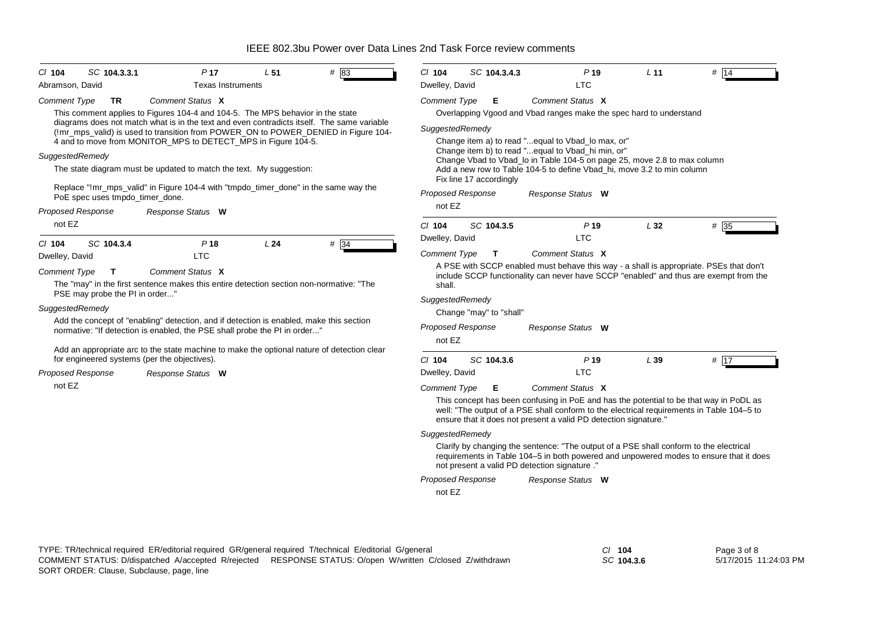| CI 104<br>Abramson, David | SC 104.3.3.1                    | P <sub>17</sub><br><b>Texas Instruments</b>                                                                                                                                                                                                       | L51 | # 83 | C/ 104<br>Dwelley, David | SC 104.3.4.3             | P <sub>19</sub><br><b>LTC</b>                                                                                                                                                                                                                           | L <sub>11</sub> | # 14              |
|---------------------------|---------------------------------|---------------------------------------------------------------------------------------------------------------------------------------------------------------------------------------------------------------------------------------------------|-----|------|--------------------------|--------------------------|---------------------------------------------------------------------------------------------------------------------------------------------------------------------------------------------------------------------------------------------------------|-----------------|-------------------|
| <b>Comment Type</b>       | TR                              | Comment Status X                                                                                                                                                                                                                                  |     |      | <b>Comment Type</b>      | Е                        | Comment Status X                                                                                                                                                                                                                                        |                 |                   |
|                           |                                 | This comment applies to Figures 104-4 and 104-5. The MPS behavior in the state                                                                                                                                                                    |     |      |                          |                          | Overlapping Vgood and Vbad ranges make the spec hard to understand                                                                                                                                                                                      |                 |                   |
|                           |                                 | diagrams does not match what is in the text and even contradicts itself. The same variable<br>(!mr_mps_valid) is used to transition from POWER_ON to POWER_DENIED in Figure 104-<br>4 and to move from MONITOR_MPS to DETECT_MPS in Figure 104-5. |     |      | SuggestedRemedy          |                          | Change item a) to read "equal to Vbad_lo max, or"                                                                                                                                                                                                       |                 |                   |
| SuggestedRemedy           |                                 |                                                                                                                                                                                                                                                   |     |      |                          |                          | Change item b) to read "equal to Vbad_hi min, or"<br>Change Vbad to Vbad_lo in Table 104-5 on page 25, move 2.8 to max column                                                                                                                           |                 |                   |
|                           |                                 | The state diagram must be updated to match the text. My suggestion:                                                                                                                                                                               |     |      |                          | Fix line 17 accordingly  | Add a new row to Table 104-5 to define Vbad hi, move 3.2 to min column                                                                                                                                                                                  |                 |                   |
|                           | PoE spec uses tmpdo_timer_done. | Replace "!mr_mps_valid" in Figure 104-4 with "tmpdo_timer_done" in the same way the                                                                                                                                                               |     |      | <b>Proposed Response</b> |                          | Response Status W                                                                                                                                                                                                                                       |                 |                   |
| <b>Proposed Response</b>  |                                 | Response Status W                                                                                                                                                                                                                                 |     |      | not EZ                   |                          |                                                                                                                                                                                                                                                         |                 |                   |
| not EZ                    |                                 |                                                                                                                                                                                                                                                   |     |      | C/ 104                   | SC 104.3.5               | P <sub>19</sub>                                                                                                                                                                                                                                         | L32             | #35               |
| CI 104                    | SC 104.3.4                      | P <sub>18</sub>                                                                                                                                                                                                                                   | L24 | #34  | Dwelley, David           |                          | <b>LTC</b>                                                                                                                                                                                                                                              |                 |                   |
| Dwelley, David            |                                 | <b>LTC</b>                                                                                                                                                                                                                                        |     |      | Comment Type             | $\mathbf{T}$             | Comment Status X                                                                                                                                                                                                                                        |                 |                   |
| Comment Type              | T                               | Comment Status X                                                                                                                                                                                                                                  |     |      |                          |                          | A PSE with SCCP enabled must behave this way - a shall is appropriate. PSEs that don't<br>include SCCP functionality can never have SCCP "enabled" and thus are exempt from the                                                                         |                 |                   |
|                           | PSE may probe the PI in order"  | The "may" in the first sentence makes this entire detection section non-normative: "The                                                                                                                                                           |     |      | shall.                   |                          |                                                                                                                                                                                                                                                         |                 |                   |
| SuggestedRemedy           |                                 |                                                                                                                                                                                                                                                   |     |      | SuggestedRemedy          |                          |                                                                                                                                                                                                                                                         |                 |                   |
|                           |                                 | Add the concept of "enabling" detection, and if detection is enabled, make this section                                                                                                                                                           |     |      |                          | Change "may" to "shall"  |                                                                                                                                                                                                                                                         |                 |                   |
|                           |                                 | normative: "If detection is enabled, the PSE shall probe the PI in order"                                                                                                                                                                         |     |      | not EZ                   | <b>Proposed Response</b> | Response Status W                                                                                                                                                                                                                                       |                 |                   |
|                           |                                 | Add an appropriate arc to the state machine to make the optional nature of detection clear<br>for engineered systems (per the objectives).                                                                                                        |     |      | $Cl$ 104                 | SC 104.3.6               | P <sub>19</sub>                                                                                                                                                                                                                                         | L39             | # $\overline{17}$ |
| <b>Proposed Response</b>  |                                 | Response Status W                                                                                                                                                                                                                                 |     |      | Dwelley, David           |                          | <b>LTC</b>                                                                                                                                                                                                                                              |                 |                   |
| not EZ                    |                                 |                                                                                                                                                                                                                                                   |     |      | <b>Comment Type</b>      | Е                        | Comment Status X                                                                                                                                                                                                                                        |                 |                   |
|                           |                                 |                                                                                                                                                                                                                                                   |     |      |                          |                          | This concept has been confusing in PoE and has the potential to be that way in PoDL as<br>well: "The output of a PSE shall conform to the electrical requirements in Table 104-5 to<br>ensure that it does not present a valid PD detection signature." |                 |                   |
|                           |                                 |                                                                                                                                                                                                                                                   |     |      | SuggestedRemedy          |                          |                                                                                                                                                                                                                                                         |                 |                   |
|                           |                                 |                                                                                                                                                                                                                                                   |     |      |                          |                          | Clarify by changing the sentence: "The output of a PSE shall conform to the electrical<br>requirements in Table 104-5 in both powered and unpowered modes to ensure that it does<br>not present a valid PD detection signature ."                       |                 |                   |
|                           |                                 |                                                                                                                                                                                                                                                   |     |      |                          | <b>Proposed Response</b> | Response Status W                                                                                                                                                                                                                                       |                 |                   |
|                           |                                 |                                                                                                                                                                                                                                                   |     |      | not EZ                   |                          |                                                                                                                                                                                                                                                         |                 |                   |
|                           |                                 |                                                                                                                                                                                                                                                   |     |      |                          |                          |                                                                                                                                                                                                                                                         |                 |                   |
|                           |                                 |                                                                                                                                                                                                                                                   |     |      |                          |                          |                                                                                                                                                                                                                                                         |                 |                   |
|                           |                                 |                                                                                                                                                                                                                                                   |     |      |                          |                          |                                                                                                                                                                                                                                                         |                 |                   |

*SC* **104.3.6**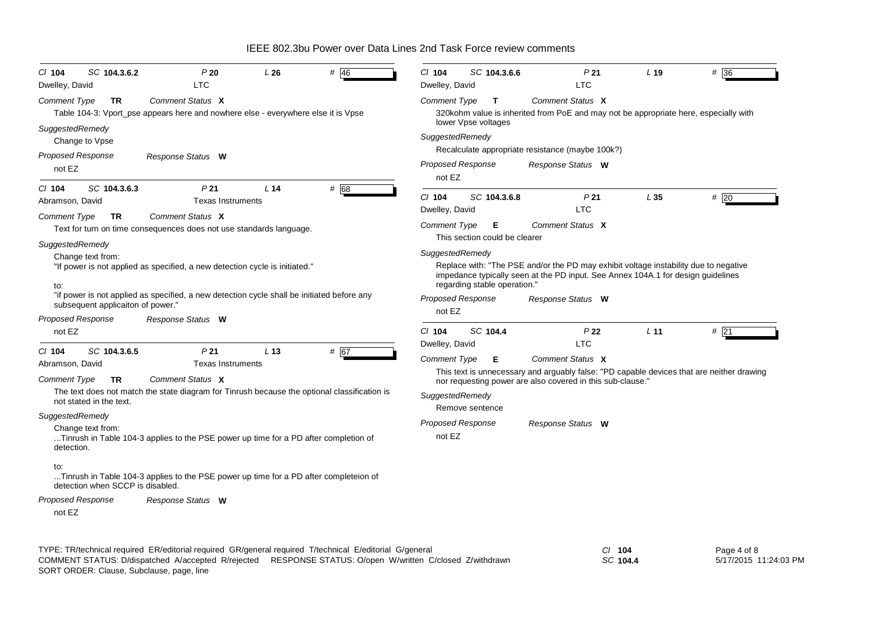| SC 104.3.6.2<br>$CI$ 104<br>Dwelley, David                  | P20<br><b>LTC</b>                                                                                                                                                                                                    | L26             | # 46 | C/ 104<br>Dwelley, David              | SC 104.3.6.6                        | P <sub>21</sub><br><b>LTC</b>                                                                                                                                            | L <sub>19</sub>      | # 36                                                                                      |
|-------------------------------------------------------------|----------------------------------------------------------------------------------------------------------------------------------------------------------------------------------------------------------------------|-----------------|------|---------------------------------------|-------------------------------------|--------------------------------------------------------------------------------------------------------------------------------------------------------------------------|----------------------|-------------------------------------------------------------------------------------------|
| Comment Type<br><b>TR</b>                                   | Comment Status X<br>Table 104-3: Vport_pse appears here and nowhere else - everywhere else it is Vpse                                                                                                                |                 |      | Comment Type                          | $\mathbf{T}$<br>lower Vpse voltages | Comment Status X<br>320kohm value is inherited from PoE and may not be appropriate here, especially with                                                                 |                      |                                                                                           |
| SuggestedRemedy<br>Change to Vpse                           |                                                                                                                                                                                                                      |                 |      | SuggestedRemedy                       |                                     | Recalculate appropriate resistance (maybe 100k?)                                                                                                                         |                      |                                                                                           |
| <b>Proposed Response</b><br>not EZ                          | Response Status W                                                                                                                                                                                                    |                 |      | <b>Proposed Response</b><br>not EZ    |                                     | Response Status W                                                                                                                                                        |                      |                                                                                           |
| SC 104.3.6.3<br>$Cl$ 104<br>Abramson, David                 | P <sub>21</sub><br><b>Texas Instruments</b>                                                                                                                                                                          | L <sub>14</sub> | # 68 | C/ 104<br>Dwelley, David              | SC 104.3.6.8                        | P <sub>21</sub><br><b>LTC</b>                                                                                                                                            | L35                  | #20                                                                                       |
| Comment Type<br><b>TR</b>                                   | Comment Status X<br>Text for turn on time consequences does not use standards language.                                                                                                                              |                 |      | Comment Type                          | Е<br>This section could be clearer  | Comment Status X                                                                                                                                                         |                      |                                                                                           |
| SuggestedRemedy<br>Change text from:<br>to:                 | "If power is not applied as specified, a new detection cycle is initiated."                                                                                                                                          |                 |      | SuggestedRemedy                       | regarding stable operation."        | Replace with: "The PSE and/or the PD may exhibit voltage instability due to negative<br>impedance typically seen at the PD input. See Annex 104A.1 for design guidelines |                      |                                                                                           |
| subsequent applicaiton of power."                           | "if power is not applied as specified, a new detection cycle shall be initiated before any                                                                                                                           |                 |      | <b>Proposed Response</b><br>not EZ    |                                     | Response Status W                                                                                                                                                        |                      |                                                                                           |
| <b>Proposed Response</b><br>not EZ                          | Response Status W                                                                                                                                                                                                    |                 |      | C/ 104                                | SC 104.4                            | P <sub>22</sub>                                                                                                                                                          | L <sub>11</sub>      | #21                                                                                       |
| SC 104.3.6.5<br>$CI$ 104<br>Abramson, David                 | P <sub>21</sub><br><b>Texas Instruments</b>                                                                                                                                                                          | L <sub>13</sub> | # 67 | Dwelley, David<br><b>Comment Type</b> | Е                                   | <b>LTC</b><br>Comment Status X                                                                                                                                           |                      |                                                                                           |
| <b>Comment Type</b><br><b>TR</b><br>not stated in the text. | Comment Status X<br>The text does not match the state diagram for Tinrush because the optional classification is                                                                                                     |                 |      | SuggestedRemedy                       | Remove sentence                     | nor requesting power are also covered in this sub-clause."                                                                                                               |                      | This text is unnecessary and arguably false: "PD capable devices that are neither drawing |
| SuggestedRemedy<br>Change text from:<br>detection.          | Tinrush in Table 104-3 applies to the PSE power up time for a PD after completion of                                                                                                                                 |                 |      | Proposed Response<br>not EZ           |                                     | Response Status W                                                                                                                                                        |                      |                                                                                           |
| to:<br>detection when SCCP is disabled.                     | Tinrush in Table 104-3 applies to the PSE power up time for a PD after completeion of                                                                                                                                |                 |      |                                       |                                     |                                                                                                                                                                          |                      |                                                                                           |
| <b>Proposed Response</b><br>not EZ                          | Response Status W                                                                                                                                                                                                    |                 |      |                                       |                                     |                                                                                                                                                                          |                      |                                                                                           |
|                                                             | TYPE: TR/technical required ER/editorial required GR/general required T/technical E/editorial G/general<br>COMMENT STATUS: D/dispatched A/accepted R/rejected RESPONSE STATUS: O/open W/written C/closed Z/withdrawn |                 |      |                                       |                                     |                                                                                                                                                                          | $CI$ 104<br>SC 104.4 | Page 4 of 8<br>5/17/2015 11:24:03 PM                                                      |

SORT ORDER: Clause, Subclause, page, line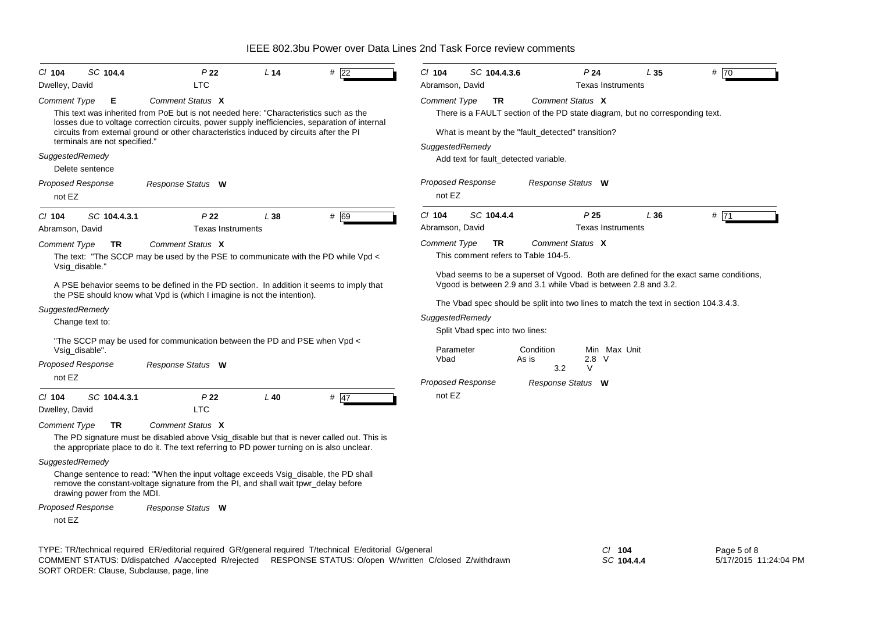| CI 104<br>Dwelley, David | SC 104.4                      | P 22<br><b>LTC</b>                                                                                                                                                                        | L <sub>14</sub> | $#$ 22 | C/ 104<br>Abramson, David | SC 104.4.3.6                    |                                                                                      | P24             | <b>Texas Instruments</b> | L 35 | # 70                                                                                  |
|--------------------------|-------------------------------|-------------------------------------------------------------------------------------------------------------------------------------------------------------------------------------------|-----------------|--------|---------------------------|---------------------------------|--------------------------------------------------------------------------------------|-----------------|--------------------------|------|---------------------------------------------------------------------------------------|
| <b>Comment Type</b>      | Е                             | Comment Status X                                                                                                                                                                          |                 |        | Comment Type              | TR                              | Comment Status X                                                                     |                 |                          |      |                                                                                       |
|                          |                               | This text was inherited from PoE but is not needed here: "Characteristics such as the                                                                                                     |                 |        |                           |                                 | There is a FAULT section of the PD state diagram, but no corresponding text.         |                 |                          |      |                                                                                       |
|                          |                               | losses due to voltage correction circuits, power supply inefficiencies, separation of internal<br>circuits from external ground or other characteristics induced by circuits after the PI |                 |        |                           |                                 | What is meant by the "fault_detected" transition?                                    |                 |                          |      |                                                                                       |
|                          | terminals are not specified." |                                                                                                                                                                                           |                 |        | SuggestedRemedy           |                                 |                                                                                      |                 |                          |      |                                                                                       |
| SuggestedRemedy          |                               |                                                                                                                                                                                           |                 |        |                           |                                 | Add text for fault_detected variable.                                                |                 |                          |      |                                                                                       |
|                          | Delete sentence               |                                                                                                                                                                                           |                 |        |                           |                                 |                                                                                      |                 |                          |      |                                                                                       |
| <b>Proposed Response</b> |                               | Response Status W                                                                                                                                                                         |                 |        | <b>Proposed Response</b>  |                                 | Response Status W                                                                    |                 |                          |      |                                                                                       |
| not EZ                   |                               |                                                                                                                                                                                           |                 |        | not EZ                    |                                 |                                                                                      |                 |                          |      |                                                                                       |
| $CI$ 104                 | SC 104.4.3.1                  | P <sub>22</sub>                                                                                                                                                                           | L 38            | # 69   | C/ 104                    | SC 104.4.4                      |                                                                                      | P <sub>25</sub> |                          | L36  | # 71                                                                                  |
| Abramson, David          |                               | <b>Texas Instruments</b>                                                                                                                                                                  |                 |        | Abramson, David           |                                 |                                                                                      |                 | <b>Texas Instruments</b> |      |                                                                                       |
| Comment Type             | TR                            | Comment Status X                                                                                                                                                                          |                 |        | <b>Comment Type</b>       | <b>TR</b>                       | Comment Status X                                                                     |                 |                          |      |                                                                                       |
|                          |                               | The text: "The SCCP may be used by the PSE to communicate with the PD while Vpd <                                                                                                         |                 |        |                           |                                 | This comment refers to Table 104-5.                                                  |                 |                          |      |                                                                                       |
| Vsig_disable."           |                               |                                                                                                                                                                                           |                 |        |                           |                                 |                                                                                      |                 |                          |      | Vbad seems to be a superset of Vgood. Both are defined for the exact same conditions, |
|                          |                               | A PSE behavior seems to be defined in the PD section. In addition it seems to imply that<br>the PSE should know what Vpd is (which I imagine is not the intention).                       |                 |        |                           |                                 | Vgood is between 2.9 and 3.1 while Vbad is between 2.8 and 3.2.                      |                 |                          |      |                                                                                       |
| SuggestedRemedy          |                               |                                                                                                                                                                                           |                 |        |                           |                                 | The Vbad spec should be split into two lines to match the text in section 104.3.4.3. |                 |                          |      |                                                                                       |
|                          | Change text to:               |                                                                                                                                                                                           |                 |        | SuggestedRemedy           |                                 |                                                                                      |                 |                          |      |                                                                                       |
|                          |                               | "The SCCP may be used for communication between the PD and PSE when Vpd <                                                                                                                 |                 |        |                           | Split Vbad spec into two lines: |                                                                                      |                 |                          |      |                                                                                       |
| Vsig_disable".           |                               |                                                                                                                                                                                           |                 |        | Parameter                 |                                 | Condition                                                                            |                 | Min Max Unit             |      |                                                                                       |
| <b>Proposed Response</b> |                               | Response Status W                                                                                                                                                                         |                 |        | Vbad                      |                                 | As is<br>3.2                                                                         | 2.8<br>V        | - V                      |      |                                                                                       |
| not EZ                   |                               |                                                                                                                                                                                           |                 |        |                           | <b>Proposed Response</b>        | Response Status W                                                                    |                 |                          |      |                                                                                       |
| CI 104                   | SC 104.4.3.1                  | P22                                                                                                                                                                                       | $L$ 40          | $#$ 47 | not EZ                    |                                 |                                                                                      |                 |                          |      |                                                                                       |
| Dwelley, David           |                               | <b>LTC</b>                                                                                                                                                                                |                 |        |                           |                                 |                                                                                      |                 |                          |      |                                                                                       |
| Comment Type             | <b>TR</b>                     | Comment Status X                                                                                                                                                                          |                 |        |                           |                                 |                                                                                      |                 |                          |      |                                                                                       |
|                          |                               | The PD signature must be disabled above Vsig_disable but that is never called out. This is<br>the appropriate place to do it. The text referring to PD power turning on is also unclear.  |                 |        |                           |                                 |                                                                                      |                 |                          |      |                                                                                       |
| SuggestedRemedy          |                               |                                                                                                                                                                                           |                 |        |                           |                                 |                                                                                      |                 |                          |      |                                                                                       |
|                          | drawing power from the MDI.   | Change sentence to read: "When the input voltage exceeds Vsig_disable, the PD shall<br>remove the constant-voltage signature from the PI, and shall wait tpwr_delay before                |                 |        |                           |                                 |                                                                                      |                 |                          |      |                                                                                       |
| <b>Proposed Response</b> |                               | Response Status W                                                                                                                                                                         |                 |        |                           |                                 |                                                                                      |                 |                          |      |                                                                                       |
| not EZ                   |                               |                                                                                                                                                                                           |                 |        |                           |                                 |                                                                                      |                 |                          |      |                                                                                       |

TYPE: TR/technical required ER/editorial required GR/general required T/technical E/editorial G/general *Cl* **104** SORT ORDER: Clause, Subclause, page, line COMMENT STATUS: D/dispatched A/accepted R/rejected RESPONSE STATUS: O/open W/written C/closed Z/withdrawn

*SC* **104.4.4**

Page 5 of 8 5/17/2015 11:24:04 PM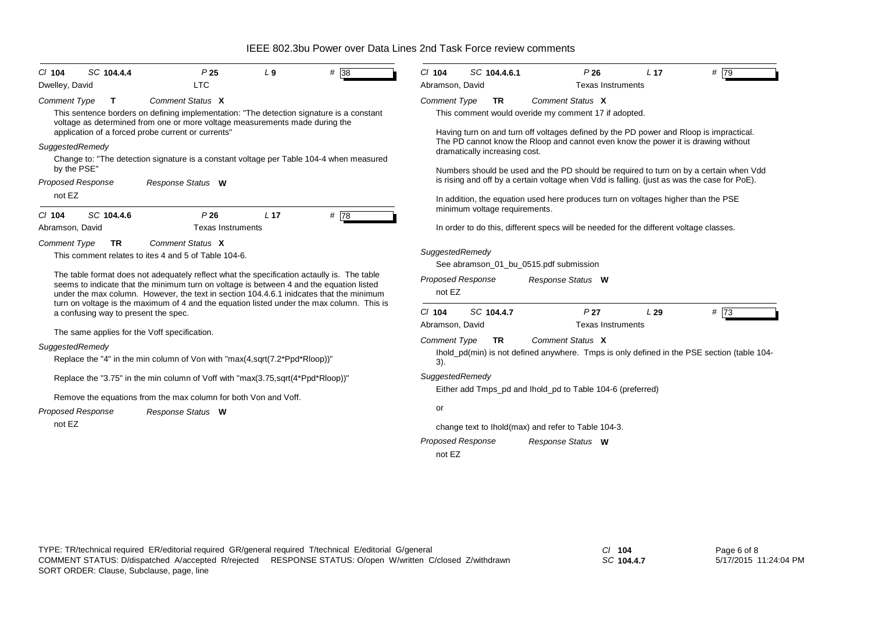| <b>Texas Instruments</b><br>Abramson, David<br><b>Comment Type</b><br><b>TR</b><br>Comment Status X<br>This sentence borders on defining implementation: "The detection signature is a constant<br>This comment would overide my comment 17 if adopted.<br>Having turn on and turn off voltages defined by the PD power and Rloop is impractical.<br>The PD cannot know the Rloop and cannot even know the power it is drawing without<br>dramatically increasing cost.<br>Change to: "The detection signature is a constant voltage per Table 104-4 when measured<br>Numbers should be used and the PD should be required to turn on by a certain when Vdd<br>is rising and off by a certain voltage when Vdd is falling. (just as was the case for PoE).<br>In addition, the equation used here produces turn on voltages higher than the PSE<br>minimum voltage requirements.<br>In order to do this, different specs will be needed for the different voltage classes.<br>SuggestedRemedy<br>See abramson 01 bu 0515.pdf submission |
|-----------------------------------------------------------------------------------------------------------------------------------------------------------------------------------------------------------------------------------------------------------------------------------------------------------------------------------------------------------------------------------------------------------------------------------------------------------------------------------------------------------------------------------------------------------------------------------------------------------------------------------------------------------------------------------------------------------------------------------------------------------------------------------------------------------------------------------------------------------------------------------------------------------------------------------------------------------------------------------------------------------------------------------------|
|                                                                                                                                                                                                                                                                                                                                                                                                                                                                                                                                                                                                                                                                                                                                                                                                                                                                                                                                                                                                                                         |
|                                                                                                                                                                                                                                                                                                                                                                                                                                                                                                                                                                                                                                                                                                                                                                                                                                                                                                                                                                                                                                         |
|                                                                                                                                                                                                                                                                                                                                                                                                                                                                                                                                                                                                                                                                                                                                                                                                                                                                                                                                                                                                                                         |
|                                                                                                                                                                                                                                                                                                                                                                                                                                                                                                                                                                                                                                                                                                                                                                                                                                                                                                                                                                                                                                         |
|                                                                                                                                                                                                                                                                                                                                                                                                                                                                                                                                                                                                                                                                                                                                                                                                                                                                                                                                                                                                                                         |
|                                                                                                                                                                                                                                                                                                                                                                                                                                                                                                                                                                                                                                                                                                                                                                                                                                                                                                                                                                                                                                         |
|                                                                                                                                                                                                                                                                                                                                                                                                                                                                                                                                                                                                                                                                                                                                                                                                                                                                                                                                                                                                                                         |
|                                                                                                                                                                                                                                                                                                                                                                                                                                                                                                                                                                                                                                                                                                                                                                                                                                                                                                                                                                                                                                         |
|                                                                                                                                                                                                                                                                                                                                                                                                                                                                                                                                                                                                                                                                                                                                                                                                                                                                                                                                                                                                                                         |
|                                                                                                                                                                                                                                                                                                                                                                                                                                                                                                                                                                                                                                                                                                                                                                                                                                                                                                                                                                                                                                         |
|                                                                                                                                                                                                                                                                                                                                                                                                                                                                                                                                                                                                                                                                                                                                                                                                                                                                                                                                                                                                                                         |
| The table format does not adequately reflect what the specification actaully is. The table<br><b>Proposed Response</b><br>Response Status W<br>not EZ<br>under the max column. However, the text in section 104.4.6.1 inidcates that the minimum<br>turn on voltage is the maximum of 4 and the equation listed under the max column. This is                                                                                                                                                                                                                                                                                                                                                                                                                                                                                                                                                                                                                                                                                           |
| $Cl$ 104<br>SC 104.4.7<br>P <sub>27</sub><br>L29<br>$#$ 73<br>Abramson, David<br><b>Texas Instruments</b>                                                                                                                                                                                                                                                                                                                                                                                                                                                                                                                                                                                                                                                                                                                                                                                                                                                                                                                               |
| Comment Status X<br><b>Comment Type</b><br>TR                                                                                                                                                                                                                                                                                                                                                                                                                                                                                                                                                                                                                                                                                                                                                                                                                                                                                                                                                                                           |
| Ihold_pd(min) is not defined anywhere. Tmps is only defined in the PSE section (table 104-<br>3).                                                                                                                                                                                                                                                                                                                                                                                                                                                                                                                                                                                                                                                                                                                                                                                                                                                                                                                                       |
| SuggestedRemedy                                                                                                                                                                                                                                                                                                                                                                                                                                                                                                                                                                                                                                                                                                                                                                                                                                                                                                                                                                                                                         |
| Either add Tmps pd and Ihold pd to Table 104-6 (preferred)                                                                                                                                                                                                                                                                                                                                                                                                                                                                                                                                                                                                                                                                                                                                                                                                                                                                                                                                                                              |
| or                                                                                                                                                                                                                                                                                                                                                                                                                                                                                                                                                                                                                                                                                                                                                                                                                                                                                                                                                                                                                                      |
| change text to Ihold(max) and refer to Table 104-3.                                                                                                                                                                                                                                                                                                                                                                                                                                                                                                                                                                                                                                                                                                                                                                                                                                                                                                                                                                                     |
| <b>Proposed Response</b><br>Response Status W                                                                                                                                                                                                                                                                                                                                                                                                                                                                                                                                                                                                                                                                                                                                                                                                                                                                                                                                                                                           |
| not EZ                                                                                                                                                                                                                                                                                                                                                                                                                                                                                                                                                                                                                                                                                                                                                                                                                                                                                                                                                                                                                                  |
| seems to indicate that the minimum turn on voltage is between 4 and the equation listed                                                                                                                                                                                                                                                                                                                                                                                                                                                                                                                                                                                                                                                                                                                                                                                                                                                                                                                                                 |

*SC* **104.4.7**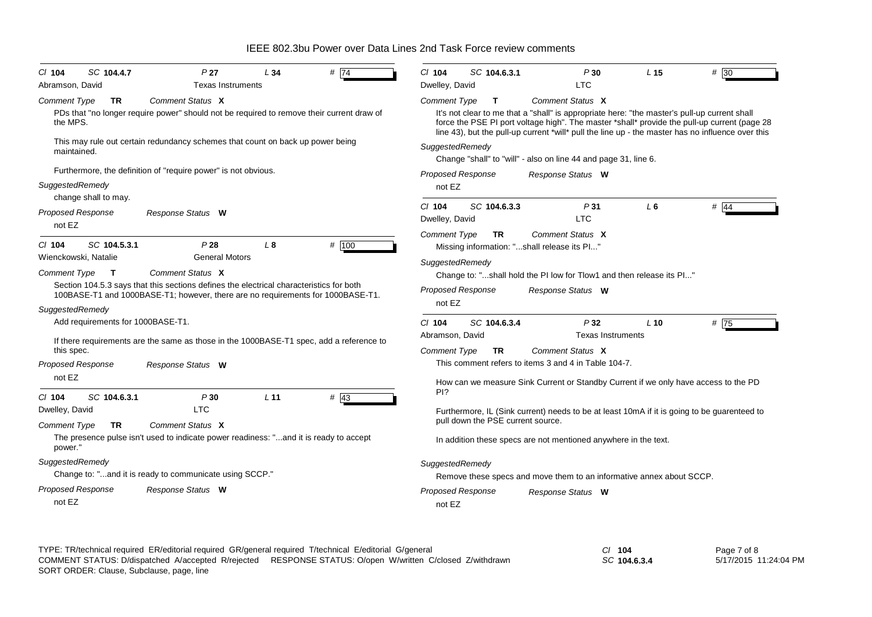| SC 104.4.7<br>$CI$ 104              | P <sub>27</sub>                                                                                                                                                            | L34             | # $\overline{74}$ | $Cl$ 104                   | SC 104.6.3.1                      | P30                                                                                                                                                                                                                                                                                               | L <sub>15</sub> | # 30   |
|-------------------------------------|----------------------------------------------------------------------------------------------------------------------------------------------------------------------------|-----------------|-------------------|----------------------------|-----------------------------------|---------------------------------------------------------------------------------------------------------------------------------------------------------------------------------------------------------------------------------------------------------------------------------------------------|-----------------|--------|
| Abramson, David                     | <b>Texas Instruments</b>                                                                                                                                                   |                 |                   | Dwelley, David             |                                   | <b>LTC</b>                                                                                                                                                                                                                                                                                        |                 |        |
| <b>Comment Type</b><br><b>TR</b>    | Comment Status X                                                                                                                                                           |                 |                   | <b>Comment Type</b>        | $\mathbf{T}$                      | Comment Status X                                                                                                                                                                                                                                                                                  |                 |        |
| the MPS.                            | PDs that "no longer require power" should not be required to remove their current draw of                                                                                  |                 |                   |                            |                                   | It's not clear to me that a "shall" is appropriate here: "the master's pull-up current shall<br>force the PSE PI port voltage high". The master *shall* provide the pull-up current (page 28<br>line 43), but the pull-up current *will* pull the line up - the master has no influence over this |                 |        |
| maintained.                         | This may rule out certain redundancy schemes that count on back up power being                                                                                             |                 |                   | SuggestedRemedy            |                                   | Change "shall" to "will" - also on line 44 and page 31, line 6.                                                                                                                                                                                                                                   |                 |        |
|                                     | Furthermore, the definition of "require power" is not obvious.                                                                                                             |                 |                   | <b>Proposed Response</b>   |                                   | Response Status W                                                                                                                                                                                                                                                                                 |                 |        |
| SuggestedRemedy                     |                                                                                                                                                                            |                 |                   | not EZ                     |                                   |                                                                                                                                                                                                                                                                                                   |                 |        |
| change shall to may.                |                                                                                                                                                                            |                 |                   |                            |                                   |                                                                                                                                                                                                                                                                                                   |                 |        |
| <b>Proposed Response</b><br>not EZ  | Response Status W                                                                                                                                                          |                 |                   | $CI$ 104<br>Dwelley, David | SC 104.6.3.3                      | P31<br><b>LTC</b>                                                                                                                                                                                                                                                                                 | L6              | $#$ 44 |
|                                     |                                                                                                                                                                            |                 |                   | <b>Comment Type</b>        | <b>TR</b>                         | Comment Status X                                                                                                                                                                                                                                                                                  |                 |        |
| SC 104.5.3.1<br>$CI$ 104            | P28                                                                                                                                                                        | L <sub>8</sub>  | # 100             |                            |                                   | Missing information: "shall release its Pl"                                                                                                                                                                                                                                                       |                 |        |
| Wienckowski. Natalie                | <b>General Motors</b>                                                                                                                                                      |                 |                   | SuggestedRemedy            |                                   |                                                                                                                                                                                                                                                                                                   |                 |        |
| <b>Comment Type</b><br>$\mathbf{T}$ | Comment Status X                                                                                                                                                           |                 |                   |                            |                                   | Change to: "shall hold the PI low for Tlow1 and then release its PI"                                                                                                                                                                                                                              |                 |        |
|                                     | Section 104.5.3 says that this sections defines the electrical characteristics for both<br>100BASE-T1 and 1000BASE-T1; however, there are no requirements for 1000BASE-T1. |                 |                   | <b>Proposed Response</b>   |                                   | Response Status W                                                                                                                                                                                                                                                                                 |                 |        |
| SuggestedRemedy                     |                                                                                                                                                                            |                 |                   | not EZ                     |                                   |                                                                                                                                                                                                                                                                                                   |                 |        |
| Add requirements for 1000BASE-T1.   |                                                                                                                                                                            |                 |                   | $CI$ 104                   | SC 104.6.3.4                      | P32                                                                                                                                                                                                                                                                                               | $L$ 10          | #75    |
|                                     |                                                                                                                                                                            |                 |                   | Abramson, David            |                                   | <b>Texas Instruments</b>                                                                                                                                                                                                                                                                          |                 |        |
| this spec.                          | If there requirements are the same as those in the 1000BASE-T1 spec, add a reference to                                                                                    |                 |                   | <b>Comment Type</b>        | <b>TR</b>                         | Comment Status X                                                                                                                                                                                                                                                                                  |                 |        |
| <b>Proposed Response</b>            | Response Status W                                                                                                                                                          |                 |                   |                            |                                   | This comment refers to items 3 and 4 in Table 104-7.                                                                                                                                                                                                                                              |                 |        |
| not EZ                              |                                                                                                                                                                            |                 |                   | PI?                        |                                   | How can we measure Sink Current or Standby Current if we only have access to the PD                                                                                                                                                                                                               |                 |        |
| CI 104<br>SC 104.6.3.1              | P30                                                                                                                                                                        | L <sub>11</sub> | $#$ 43            |                            |                                   |                                                                                                                                                                                                                                                                                                   |                 |        |
| Dwelley, David                      | <b>LTC</b>                                                                                                                                                                 |                 |                   |                            | pull down the PSE current source. | Furthermore, IL (Sink current) needs to be at least 10mA if it is going to be guarenteed to                                                                                                                                                                                                       |                 |        |
| TR.<br><b>Comment Type</b>          | Comment Status X                                                                                                                                                           |                 |                   |                            |                                   |                                                                                                                                                                                                                                                                                                   |                 |        |
| power."                             | The presence pulse isn't used to indicate power readiness: "and it is ready to accept                                                                                      |                 |                   |                            |                                   | In addition these specs are not mentioned anywhere in the text.                                                                                                                                                                                                                                   |                 |        |
| SuggestedRemedy                     |                                                                                                                                                                            |                 |                   | SuggestedRemedy            |                                   |                                                                                                                                                                                                                                                                                                   |                 |        |
|                                     | Change to: "and it is ready to communicate using SCCP."                                                                                                                    |                 |                   |                            |                                   | Remove these specs and move them to an informative annex about SCCP.                                                                                                                                                                                                                              |                 |        |
| <b>Proposed Response</b><br>not EZ  | Response Status W                                                                                                                                                          |                 |                   | Proposed Response          |                                   | Response Status W                                                                                                                                                                                                                                                                                 |                 |        |
|                                     |                                                                                                                                                                            |                 |                   | not EZ                     |                                   |                                                                                                                                                                                                                                                                                                   |                 |        |

TYPE: TR/technical required ER/editorial required GR/general required T/technical E/editorial G/general *Cl* **104** SORT ORDER: Clause, Subclause, page, line COMMENT STATUS: D/dispatched A/accepted R/rejected RESPONSE STATUS: O/open W/written C/closed Z/withdrawn

*SC* **104.6.3.4**

Page 7 of 8 5/17/2015 11:24:04 PM